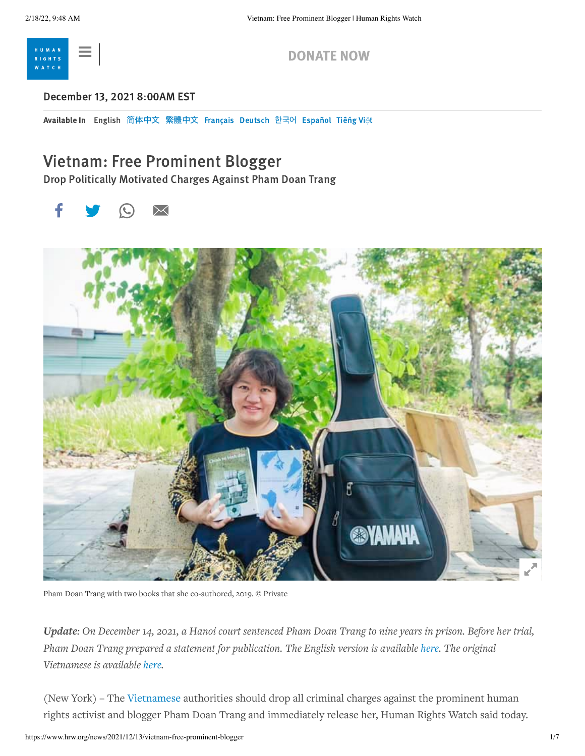

[DONATE NOW](https://donate.hrw.org/page/65440/donate/1?ea.tracking.id=EP2022EVpgdonate)

## [Decem](https://www.hrw.org/)ber 13, 2021 8:00AM EST

Available In [English](https://www.hrw.org/news/2021/12/13/vietnam-free-prominent-blogger) [简体中⽂](https://www.hrw.org/zh-hans/news/2021/12/13/380160) [繁體中⽂](https://www.hrw.org/zh-hant/news/2021/12/13/380160) [Français](https://www.hrw.org/fr/news/2021/12/13/vietnam-liberer-une-eminente-blogueuse) [Deutsch](https://www.hrw.org/de/news/2021/12/14/vietnam-prominente-bloggerin-freilassen) [한국어](https://www.hrw.org/ko/news/2021/12/13/380160) [Español](https://www.hrw.org/es/news/2021/12/14/vietnam-debe-liberar-renombrada-bloguera) [Tiêng](https://www.hrw.org/vi/news/2021/12/13/380160) Việt

# Vietnam: Free Prominent Blogger

Drop Politically Motivated Charges Against Pham Doan Trang





Pham Doan Trang with two books that she co-authored, 2019. © Private

Update: On December 14, 2021, a Hanoi court sentenced Pham Doan Trang to nine years in prison. Before her trial, *Pham Doan Trang prepared a statement for publication. The English version is available [here.](https://www.hrw.org/sites/default/files/media_2021/12/211214%20Pham%20Doan%20Trang%20Statement.pdf) The original Vietnamese is available [here.](https://www.hrw.org/sites/default/files/media_2021/12/211214%20Pham%20Doan%20Trang%20Statement_VN.pdf)*

(New York) – The [Vietnamese](https://www.hrw.org/asia/vietnam) authorities should drop all criminal charges against the prominent human rights activist and blogger Pham Doan Trang and immediately release her, Human Rights Watch said today.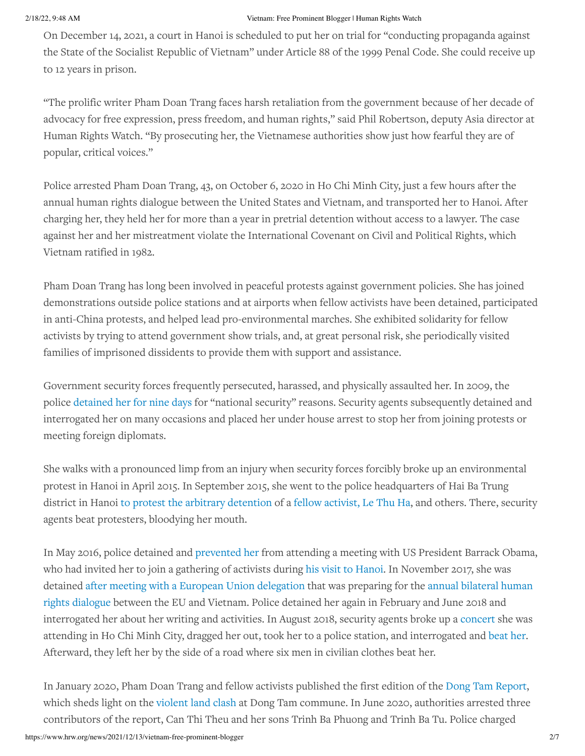#### 2/18/22, 9:48 AM Vietnam: Free Prominent Blogger | Human Rights Watch

On December 14, 2021, a court in Hanoi is scheduled to put her on trial for "conducting propaganda against the State of the Socialist Republic of Vietnam" under Article 88 of the 1999 Penal Code. She could receive up to 12 years in prison.

"The prolific writer Pham Doan Trang faces harsh retaliation from the government because of her decade of advocacy for free expression, press freedom, and human rights," said Phil Robertson, deputy Asia director at Human Rights Watch. "By prosecuting her, the Vietnamese authorities show just how fearful they are of popular, critical voices."

Police arrested Pham Doan Trang, 43, on October 6, 2020 in Ho Chi Minh City, just a few hours after the annual human rights dialogue between the United States and Vietnam, and transported her to Hanoi. After charging her, they held her for more than a year in pretrial detention without access to a lawyer. The case against her and her mistreatment violate the International Covenant on Civil and Political Rights, which Vietnam ratified in 1982.

Pham Doan Trang has long been involved in peaceful protests against government policies. She has joined demonstrations outside police stations and at airports when fellow activists have been detained, participated in anti-China protests, and helped lead pro-environmental marches. She exhibited solidarity for fellow activists by trying to attend government show trials, and, at great personal risk, she periodically visited families of imprisoned dissidents to provide them with support and assistance.

Government security forces frequently persecuted, harassed, and physically assaulted her. In 2009, the police [detained her](http://content.time.com/time/world/article/0,8599,1920520,00.html) for nine days for "national security" reasons. Security agents subsequently detained and interrogated her on many occasions and placed her under house arrest to stop her from joining protests or meeting foreign diplomats.

She walks with a pronounced limp from an injury when security forces forcibly broke up an environmental protest in Hanoi in April 2015. In September 2015, she went to the police headquarters of Hai Ba Trung district in Hanoi to protest the arbitrary [detention](https://www.facebook.com/danlambaovn/videos/930505080338144/?comment_id=930516210337031&comment_tracking=%7B%22tn%22%3A%22R1%22%7D) of a fellow [activist,](https://www.hrw.org/news/2018/04/04/vietnam-drop-charges-against-human-rights-defenders) Le Thu Ha, and others. There, security agents beat protesters, bloodying her mouth.

In May 2016, police detained and [prevented her](https://www.theatlantic.com/international/archive/2016/05/vietnam-arms-embargo/484112/) from attending a meeting with US President Barrack Obama, who had invited her to join a gathering of activists during his visit to [Hanoi](https://www.hrw.org/news/2016/05/19/vietnam-obamas-visit-should-advance-human-rights). In November 2017, she was [detained after](https://www.hrw.org/news/2017/11/28/hrw-submission-eu-bilateral-dialogue-vietnam) meeting with a European Union [delegation](https://www.hrw.org/news/2017/11/28/vietnam-eu-should-press-release-political-prisoners) that was preparing for the annual bilateral human rights dialogue between the EU and Vietnam. Police detained her again in February and June 2018 and interrogated her about her writing and activities. In August 2018, security agents broke up a [concert](https://www.hrw.org/news/2018/08/22/vietnam-activists-beaten-concert-raid) she was attending in Ho Chi Minh City, dragged her out, took her to a police station, and interrogated and [beat](https://www.hrw.org/news/2018/08/22/vietnam-activists-beaten-concert-raid) her. Afterward, they left her by the side of a road where six men in civilian clothes beat her.

In January 2020, Pham Doan Trang and fellow activists published the first edition of the Dong Tam [Report](https://www.thevietnamese.org/2020/09/dong-tam-report-trying-to-find-transparency/), which sheds light on the violent [land clash](https://www.rfa.org/english/news/vietnam/torture-09092020173735.html) at Dong Tam commune. In June 2020, authorities arrested three contributors of the report, Can Thi Theu and her sons Trinh Ba Phuong and Trinh Ba Tu. Police charged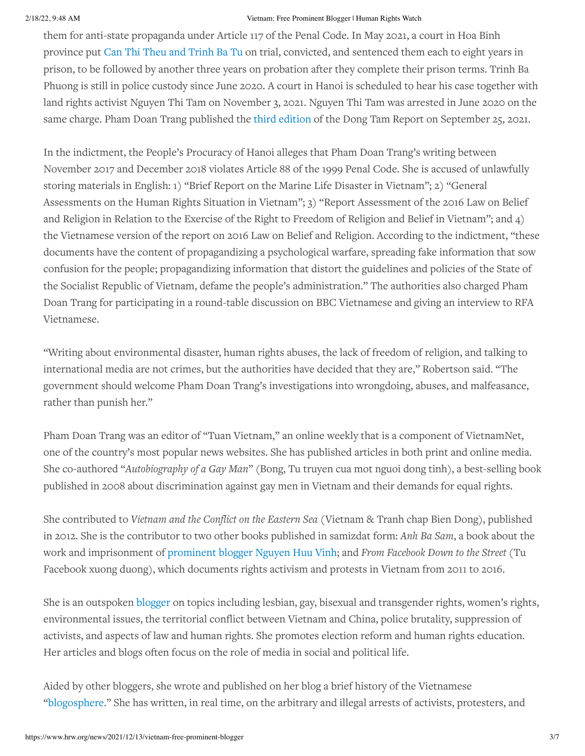### 2/18/22, 9:48 AM Vietnam: Free Prominent Blogger | Human Rights Watch

them for anti-state propaganda under Article 117 of the Penal Code. In May 2021, a court in Hoa Binh province put Can Thi [Theu and Trinh](https://www.hrw.org/news/2021/05/04/vietnam-free-democracy-activist-mother-sons) Ba Tu on trial, convicted, and sentenced them each to eight years in prison, to be followed by another three years on probation after they complete their prison terms. Trinh Ba Phuong is still in police custody since June 2020. A court in Hanoi is scheduled to hear his case together with land rights activist Nguyen Thi Tam on November 3, 2021. Nguyen Thi Tam was arrested in June 2020 on the same charge. Pham Doan Trang published the [third edition](https://www.luatkhoa.org/2020/09/bao-cao-dong-tam-bach-hoa-va-luu-tru/) of the Dong Tam Report on September 25, 2021.

In the indictment, the People's Procuracy of Hanoi alleges that Pham Doan Trang's writing between November 2017 and December 2018 violates Article 88 of the 1999 Penal Code. She is accused of unlawfully storing materials in English: 1) "Brief Report on the Marine Life Disaster in Vietnam"; 2) "General Assessments on the Human Rights Situation in Vietnam"; 3) "Report Assessment of the 2016 Law on Belief and Religion in Relation to the Exercise of the Right to Freedom of Religion and Belief in Vietnam"; and 4) the Vietnamese version of the report on 2016 Law on Belief and Religion. According to the indictment, "these documents have the content of propagandizing a psychological warfare, spreading fake information that sow confusion for the people; propagandizing information that distort the guidelines and policies of the State of the Socialist Republic of Vietnam, defame the people's administration." The authorities also charged Pham Doan Trang for participating in a round-table discussion on BBC Vietnamese and giving an interview to RFA Vietnamese.

"Writing about environmental disaster, human rights abuses, the lack of freedom of religion, and talking to international media are not crimes, but the authorities have decided that they are," Robertson said. "The government should welcome Pham Doan Trang's investigations into wrongdoing, abuses, and malfeasance, rather than punish her."

Pham Doan Trang was an editor of "Tuan Vietnam," an online weekly that is a component of VietnamNet, one of the country's most popular news websites. She has published articles in both print and online media. She co-authored "*Autobiography of a Gay Man*" (Bong, Tu truyen cua mot nguoi dong tinh), a best-selling book published in 2008 about discrimination against gay men in Vietnam and their demands for equal rights.

She contributed to *Vietnam and the Conflict on the Eastern Sea* (Vietnam & Tranh chap Bien Dong), published in 2012. She is the contributor to two other books published in samizdat form: *Anh Ba Sam*, a book about the work and imprisonment of [prominent](https://www.hrw.org/news/2016/09/19/vietnam-free-imprisoned-bloggers) blogger Nguyen Huu Vinh; and *From Facebook Down to the Street* (Tu Facebook xuong duong), which documents rights activism and protests in Vietnam from 2011 to 2016.

She is an outspoken [blogger](http://www.phamdoantrang.com/) on topics including lesbian, gay, bisexual and transgender rights, women's rights, environmental issues, the territorial conflict between Vietnam and China, police brutality, suppression of activists, and aspects of law and human rights. She promotes election reform and human rights education. Her articles and blogs often focus on the role of media in social and political life.

Aided by other bloggers, she wrote and published on her blog a brief history of the Vietnamese "[blogosphere.](http://www.phamdoantrang.com/2013/12/chronology-of-blogging-movement-in.html)" She has written, in real time, on the arbitrary and illegal arrests of activists, protesters, and